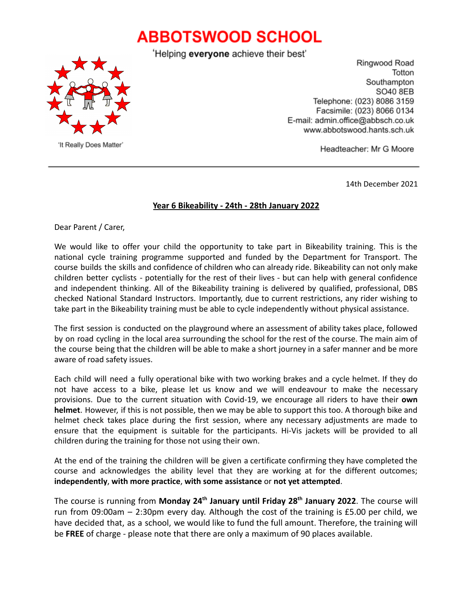## **ABBOTSWOOD SCHOOL**





'It Really Does Matter'

Ringwood Road Totton Southampton SO40 8EB Telephone: (023) 8086 3159 Facsimile: (023) 8066 0134 E-mail: admin.office@abbsch.co.uk www.abbotswood.hants.sch.uk

Headteacher: Mr G Moore

14th December 2021

## **Year 6 Bikeability - 24th - 28th January 2022**

Dear Parent / Carer,

We would like to offer your child the opportunity to take part in Bikeability training. This is the national cycle training programme supported and funded by the Department for Transport. The course builds the skills and confidence of children who can already ride. Bikeability can not only make children better cyclists - potentially for the rest of their lives - but can help with general confidence and independent thinking. All of the Bikeability training is delivered by qualified, professional, DBS checked National Standard Instructors. Importantly, due to current restrictions, any rider wishing to take part in the Bikeability training must be able to cycle independently without physical assistance.

The first session is conducted on the playground where an assessment of ability takes place, followed by on road cycling in the local area surrounding the school for the rest of the course. The main aim of the course being that the children will be able to make a short journey in a safer manner and be more aware of road safety issues.

Each child will need a fully operational bike with two working brakes and a cycle helmet. If they do not have access to a bike, please let us know and we will endeavour to make the necessary provisions. Due to the current situation with Covid-19, we encourage all riders to have their **own helmet**. However, if this is not possible, then we may be able to support this too. A thorough bike and helmet check takes place during the first session, where any necessary adjustments are made to ensure that the equipment is suitable for the participants. Hi-Vis jackets will be provided to all children during the training for those not using their own.

At the end of the training the children will be given a certificate confirming they have completed the course and acknowledges the ability level that they are working at for the different outcomes; **independently**, **with more practice**, **with some assistance** or **not yet attempted**.

The course is running from **Monday 24th January until Friday 28th January 2022**. The course will run from 09:00am – 2:30pm every day. Although the cost of the training is £5.00 per child, we have decided that, as a school, we would like to fund the full amount. Therefore, the training will be **FREE** of charge - please note that there are only a maximum of 90 places available.